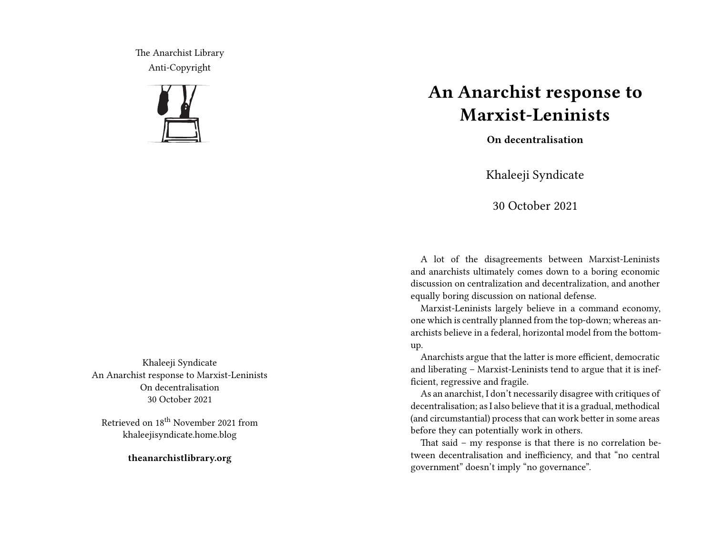The Anarchist Library Anti-Copyright



Khaleeji Syndicate An Anarchist response to Marxist-Leninists On decentralisation 30 October 2021

Retrieved on 18<sup>th</sup> November 2021 from khaleejisyndicate.home.blog

**theanarchistlibrary.org**

## **An Anarchist response to Marxist-Leninists**

**On decentralisation**

Khaleeji Syndicate

30 October 2021

A lot of the disagreements between Marxist-Leninists and anarchists ultimately comes down to a boring economic discussion on centralization and decentralization, and another equally boring discussion on national defense.

Marxist-Leninists largely believe in a command economy, one which is centrally planned from the top-down; whereas anarchists believe in a federal, horizontal model from the bottomup.

Anarchists argue that the latter is more efficient, democratic and liberating – Marxist-Leninists tend to argue that it is inefficient, regressive and fragile.

As an anarchist, I don't necessarily disagree with critiques of decentralisation; as I also believe that it is a gradual, methodical (and circumstantial) process that can work better in some areas before they can potentially work in others.

That said – my response is that there is no correlation between decentralisation and inefficiency, and that "no central government" doesn't imply "no governance".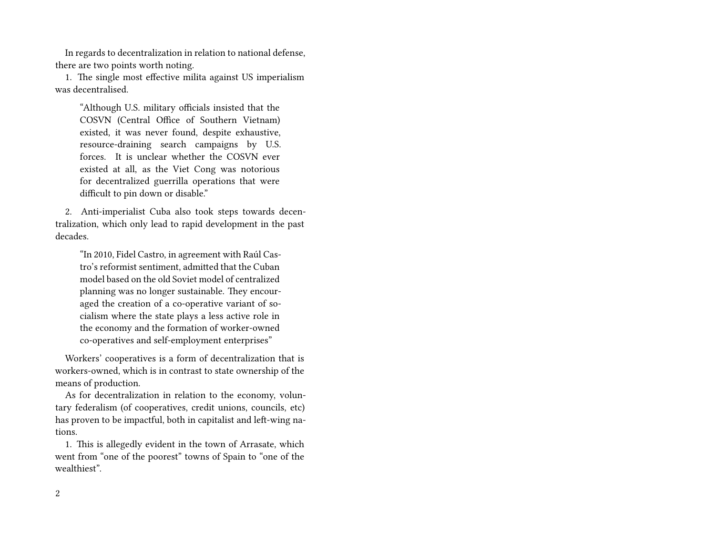In regards to decentralization in relation to national defense, there are two points worth noting.

1. The single most effective milita against US imperialism was decentralised.

"Although U.S. military officials insisted that the COSVN (Central Office of Southern Vietnam) existed, it was never found, despite exhaustive, resource-draining search campaigns by U.S. forces. It is unclear whether the COSVN ever existed at all, as the Viet Cong was notorious for decentralized guerrilla operations that were difficult to pin down or disable."

2. Anti-imperialist Cuba also took steps towards decentralization, which only lead to rapid development in the past decades.

"In 2010, Fidel Castro, in agreement with Raúl Castro's reformist sentiment, admitted that the Cuban model based on the old Soviet model of centralized planning was no longer sustainable. They encouraged the creation of a co-operative variant of socialism where the state plays a less active role in the economy and the formation of worker-owned co-operatives and self-employment enterprises"

Workers' cooperatives is a form of decentralization that is workers-owned, which is in contrast to state ownership of the means of production.

As for decentralization in relation to the economy, voluntary federalism (of cooperatives, credit unions, councils, etc) has proven to be impactful, both in capitalist and left-wing nations.

1. This is allegedly evident in the town of Arrasate, which went from "one of the poorest" towns of Spain to "one of the wealthiest".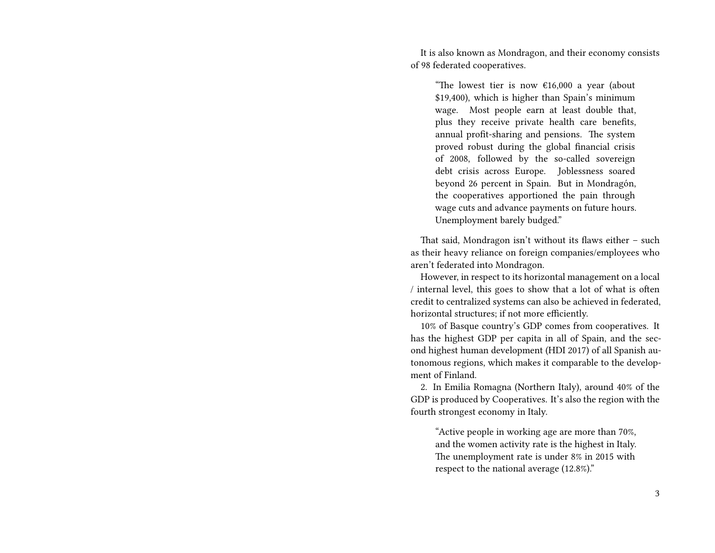It is also known as Mondragon, and their economy consists of 98 federated cooperatives.

"The lowest tier is now  $\epsilon$ 16,000 a year (about \$19,400), which is higher than Spain's minimum wage. Most people earn at least double that, plus they receive private health care benefits, annual profit-sharing and pensions. The system proved robust during the global financial crisis of 2008, followed by the so-called sovereign debt crisis across Europe. Joblessness soared beyond 26 percent in Spain. But in Mondragón, the cooperatives apportioned the pain through wage cuts and advance payments on future hours. Unemployment barely budged."

That said, Mondragon isn't without its flaws either – such as their heavy reliance on foreign companies/employees who aren't federated into Mondragon.

However, in respect to its horizontal management on a local / internal level, this goes to show that a lot of what is often credit to centralized systems can also be achieved in federated, horizontal structures; if not more efficiently.

10% of Basque country's GDP comes from cooperatives. It has the highest GDP per capita in all of Spain, and the second highest human development (HDI 2017) of all Spanish autonomous regions, which makes it comparable to the development of Finland.

2. In Emilia Romagna (Northern Italy), around 40% of the GDP is produced by Cooperatives. It's also the region with the fourth strongest economy in Italy.

"Active people in working age are more than 70%, and the women activity rate is the highest in Italy. The unemployment rate is under 8% in 2015 with respect to the national average (12.8%)."